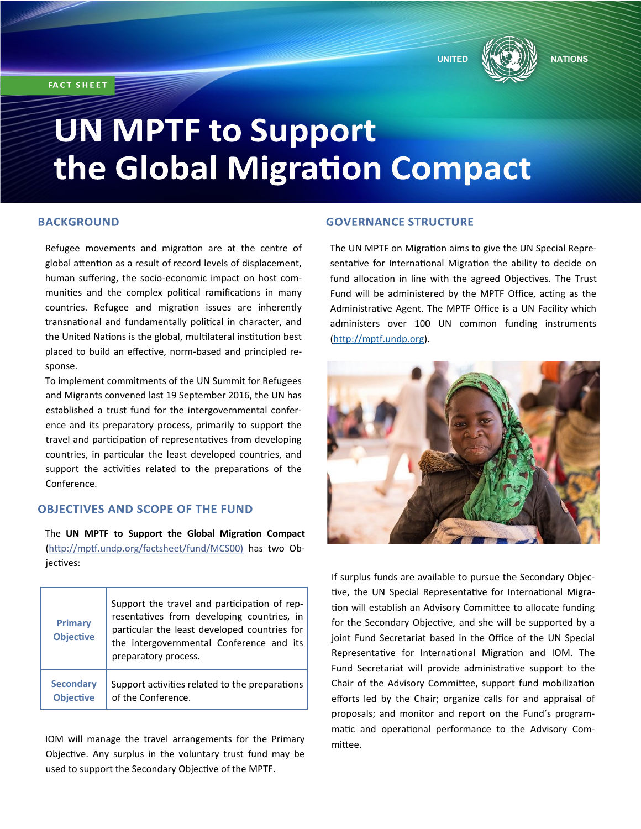**FACT SHEET** 





# **UN MPTF to Support** the Global Migration Compact

### **BACKGROUND**

Refugee movements and migration are at the centre of global attention as a result of record levels of displacement, human suffering, the socio-economic impact on host communities and the complex political ramifications in many countries. Refugee and migration issues are inherently transnational and fundamentally political in character, and the United Nations is the global, multilateral institution best placed to build an effective, norm-based and principled response.

To implement commitments of the UN Summit for Refugees and Migrants convened last 19 September 2016, the UN has established a trust fund for the intergovernmental conference and its preparatory process, primarily to support the travel and participation of representatives from developing countries, in particular the least developed countries, and support the activities related to the preparations of the Conference.

#### **OBJECTIVES AND SCOPE OF THE FUND**

The **UN MPTF to Support the Global Migration Compact**  (http://mptf.undp.org/factsheet/fund/MCS00) has two Objectives:

| <b>Primary</b><br><b>Objective</b> | Support the travel and participation of rep-<br>resentatives from developing countries, in<br>particular the least developed countries for<br>the intergovernmental Conference and its<br>preparatory process. |
|------------------------------------|----------------------------------------------------------------------------------------------------------------------------------------------------------------------------------------------------------------|
| <b>Secondary</b>                   | Support activities related to the preparations                                                                                                                                                                 |
| <b>Objective</b>                   | of the Conference.                                                                                                                                                                                             |

IOM will manage the travel arrangements for the Primary Objective. Any surplus in the voluntary trust fund may be used to support the Secondary Objective of the MPTF.

# **GOVERNANCE STRUCTURE**

The UN MPTF on Migration aims to give the UN Special Representative for International Migration the ability to decide on fund allocation in line with the agreed Objectives. The Trust Fund will be administered by the MPTF Office, acting as the Administrative Agent. The MPTF Office is a UN Facility which administers over 100 UN common funding instruments ([http://mptf.undp.org\)](http://mptf.undp.org).



If surplus funds are available to pursue the Secondary Objective, the UN Special Representative for International Migration will establish an Advisory Committee to allocate funding for the Secondary Objective, and she will be supported by a joint Fund Secretariat based in the Office of the UN Special Representative for International Migration and IOM. The Fund Secretariat will provide administrative support to the Chair of the Advisory Committee, support fund mobilization efforts led by the Chair; organize calls for and appraisal of proposals; and monitor and report on the Fund's programmatic and operational performance to the Advisory Committee.